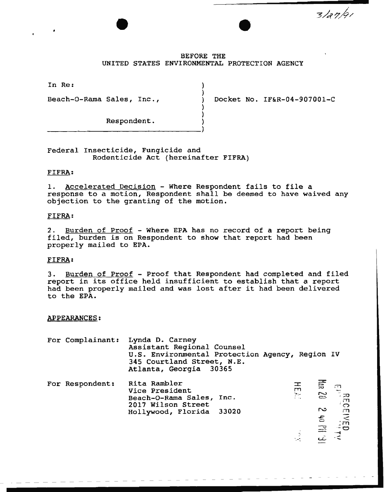$3/a$ n/qı

## BEFORE THE UNITED STATES ENVIRONMENTAL PROTECTION AGENCY

) )

) )

In Re:

Beach-0-Rama Sales, Inc.,  $\qquad \qquad$  Docket No. IF&R-04-907001-C

Respondent.

Federal Insecticide, Fungicide and Rodenticide Act (hereinafter FIFRA)

## FIFRA:

1. Accelerated Decision - Where Respondent fails to file a response to a motion, Respondent shall be deemed to have waived any objection to the granting of the motion.

## FIFRA:

2. Burden of Proof - Where EPA has no record of a report being filed, burden is on Respondent to show that report had been properly mailed to EPA.

# FIFRA:

3. Burden of Proof - Proof that Respondent had completed and filed report in its office held insufficient to establish that a report had been properly mailed and was lost after it had been delivered to the EPA.

#### APPEARANCES:

| For Complainant: | Lynda D. Carney<br>Assistant Regional Counsel<br>U.S. Environmental Protection Agency, Region IV<br>345 Courtland Street, N.E.<br>Atlanta, Georgia 30365 |                          |                                                            |
|------------------|----------------------------------------------------------------------------------------------------------------------------------------------------------|--------------------------|------------------------------------------------------------|
| For Respondent:  | Rita Rambler<br>Vice President<br>Beach-O-Rama Sales, Inc.<br>2017 Wilson Street<br>Hollywood, Florida 33020                                             | ᆍ<br>m<br>$\sum_{i=1}^n$ | $\frac{E}{\text{Area}}$ 20 $\frac{5}{20}$                  |
|                  |                                                                                                                                                          |                          | $\frac{1}{2}$ of $\frac{1}{3}$<br>B. Illa of $\frac{1}{2}$ |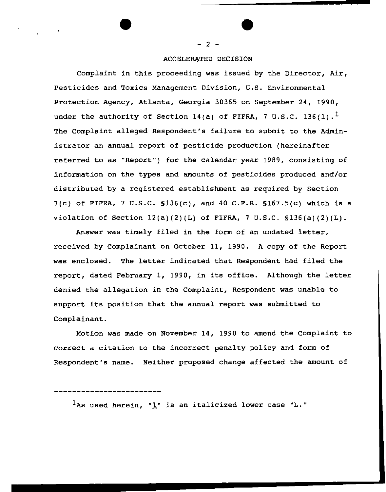#### ACCELERATED DECISION

Complaint in this proceeding was issued by the Director, Air, Pesticides and Toxics Management Division, U.S. Environmental Protection Agency, Atlanta, Georgia 30365 on September 24, 1990, under the authority of Section 14(a) of FIFRA, 7 U.S.C. 136(1).<sup>1</sup> The Complaint alleged Respondent's failure to submit to the Administrator an annual report of pesticide production (hereinafter referred to as "Report") for the calendar year 1989, consisting of information on the types and amounts of pesticides produced and/or distributed by a registered establishment as required by Section 7(c) of FIFRA, 7 U.S.C.  $$136(c)$ , and 40 C.F.R.  $$167.5(c)$  which is a violation of Section  $12(a)(2)(L)$  of FIFRA, 7 U.S.C.  $136(a)(2)(L)$ .

Answer was timely filed in the form of an undated letter, received by Complainant on October 11, 1990. A copy of the Report was enclosed. The letter indicated that Respondent had filed the report, dated February 1, 1990, in its office. Although the letter denied the allegation in the Complaint, Respondent was unable to support its position that the annual report was submitted to Complainant.

Motion was made on November 14, 1990 to amend the Complaint to correct a citation to the incorrect penalty policy and form of Respondent's name. Neither proposed change affected the amount of

 $\frac{1}{2}$ As used herein, " $\frac{1}{2}$ " is an italicized lower case "L."

- 2 -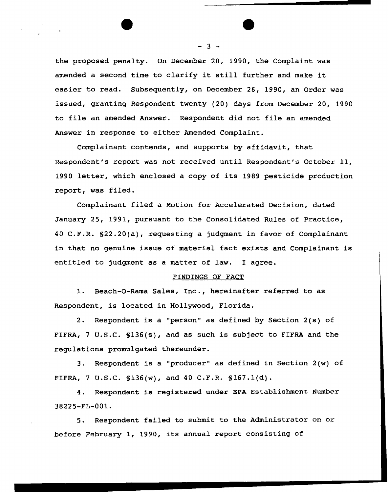the proposed penalty. On December 20, 1990, the Complaint was amended a second time to clarify it still further and make it easier to read. Subsequently, on December 26, 1990, an Order was issued, granting Respondent twenty (20) days from December 20, 1990 to file an amended Answer. Respondent did not file an amended Answer *in* response to either Amended Complaint.

Complainant contends, and supports by affidavit, that Respondent's report was not received until Respondent's October 11, 1990 letter, which enclosed a copy of its 1989 pesticide production report, was filed.

Complainant filed a Motion for Accelerated Decision, dated January 25, 1991, pursuant to the Consolidated Rules of Practice, 40 C.F.R. §22.20(a), requesting a judgment in favor of Complainant *in* that no genuine issue of material fact exists and Complainant is entitled to judgment as a matter of law. I agree.

### FINDINGS OF FACT

1. Beach-0-Rama Sales, Inc., hereinafter referred to as Respondent, is located *in* Hollywood, Florida.

2. Respondent *is* a "person" as defined by Section 2(s) of FIFRA, 7 U.S.C. S136(s), and as such is subject to FIFRA and the regulations promulgated thereunder.

3. Respondent is a "producer" as defined in Section 2(w) of FIFRA, 7 U.S.C.  $$136(w)$ , and 40 C.F.R.  $$167.1(d)$ .

4. Respondent is registered under EPA Establishment Number 38225-FL-001.

5. Respondent failed to submit to the Administrator on or before February 1, 1990, its annual report consisting of

 $- 3 -$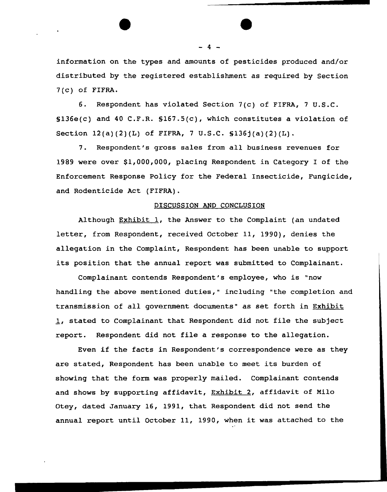information on the types and amounts of pesticides produced and/or distributed by the registered establishment as required by Section 7(c) of FIFRA.

6. Respondent has violated Section 7(c) of FIFRA, 7 u.s.c. §136e(c) and 40 C.F.R. §167.S(c), which constitutes a violation of Section 12(a)(2)(L) of FIFRA, 7 U.S.C. §136j(a)(2)(L).

7. Respondent's gross sales from all business revenues for 1989 were over \$1,000,000, placing Respondent in Category I of the Enforcement Response Policy for the Federal Insecticide, Fungicide, and Rodenticide Act (FIFRA).

## DISCUSSION AND CONCLUSION

Although Exhibit  $1$ , the Answer to the Complaint (an undated letter, from Respondent, received October 11, 1990), denies the allegation in the Complaint, Respondent has been unable to support its position that the annual report was submitted to Complainant.

Complainant contends Respondent's employee, who is "now handling the above mentioned duties," including "the completion and transmission of all government documents" as set forth in Exhibit 1, stated to Complainant that Respondent did not file the subject report. Respondent did not file a response to the allegation.

Even if the facts in Respondent's correspondence were as they are stated, Respondent has been unable to meet its burden of showing that the form was properly mailed. Complainant contends and shows by supporting affidavit, Exhibit 2, affidavit of *Milo*  Otey, dated January 16, 1991, that Respondent did not send the annual report until October 11, 1990, when it was attached to the

- 4 -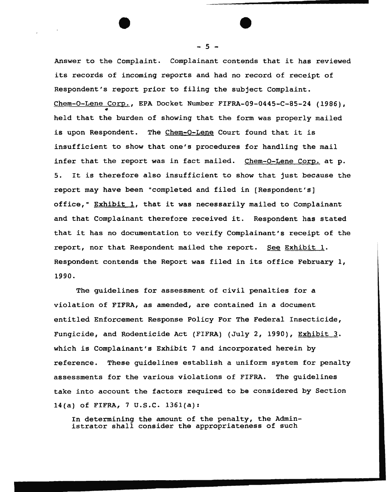Answer to the Complaint. Complainant contends that it has reviewed its records of incoming reports and had no record of receipt of Respondent's report prior to filing the subject Complaint. Chem-O-Lene Corp., EPA Docket Number FIFRA-09-0445-C-85-24 (1986), • held that the burden of showing that the form was properly mailed is upon Respondent. The Chem-0-Lene Court found that it is insufficient to show that one's procedures for handling the mail infer that the report was in fact mailed. Chem-O-Lene Corp. at p. 5. It is therefore also insufficient to show that just because the report may have been "completed and filed in [Respondent's] office,"  $Exhibit 1$ , that it was necessarily mailed to Complainant and that Complainant therefore received it. Respondent has stated that it has no documentation to verify Complainant's receipt of the report, nor that Respondent mailed the report. See Exhibit 1. Respondent contends the Report was filed in its office February 1, 1990.

The guidelines for assessment of civil penalties for a violation of FIFRA, as amended, are contained *in* a document entitled Enforcement Response *Policy* For The Federal Insecticide, *Fungicide,* and Rodenticide Act (FIFRA) (July 2, 1990), Exhibit 3. which *is* Complainant's Exhibit 7 and incorporated herein by reference. These guidelines establish a uniform system for penalty assessments for the various violations of FIFRA. The guidelines take into account the factors required to be considered by Section 14(a) of FIFRA, 7 U.S.C. 136l(a):

In determining the amount of the penalty, the Administrator shall consider the appropriateness of such

- 5 -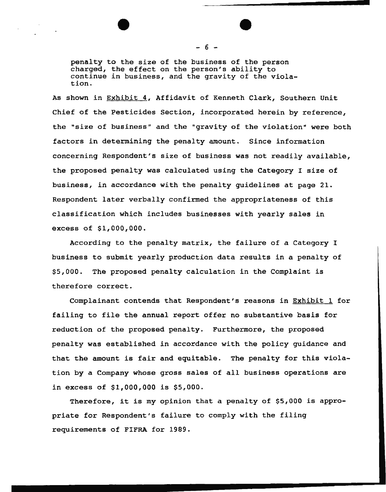penalty to the size of the business of the person charged, the effect on the person's ability to continue *in* business, and the gravity of the violation.

As shown *in* Exhibit 4, Affidavit of Kenneth Clark, Southern Unit Chief of the Pesticides Section, incorporated herein by reference, the "size of business" and the "gravity of the violation" were both factors in determining the penalty amount. Since information concerning Respondent's size of business was not readily available, the proposed penalty was calculated using the Category I size of business, *in* accordance with the penalty guidelines at page 21. Respondent later verbally confirmed the appropriateness of this classification which includes businesses with yearly sales in excess of \$1,000,000.

According to the penalty matrix, the failure of a Category I business to submit yearly production data results in a penalty of \$5,000. The proposed penalty calculation *in* the Complaint is therefore correct.

Complainant contends that Respondent's reasons in Exhibit 1 for failing to file the annual report offer no substantive basis for reduction of the proposed penalty. Furthermore, the proposed penalty was established *in* accordance with the policy guidance and that the amount is fair and equitable. The penalty for this violation by a Company whose gross sales of all business operations are in excess of \$1,000,000 is \$5,000.

Therefore, it is my opinion that a penalty of \$5,000 is appropriate for Respondent's failure to comply with the filing requirements of FIFRA for 1989.

- 6 -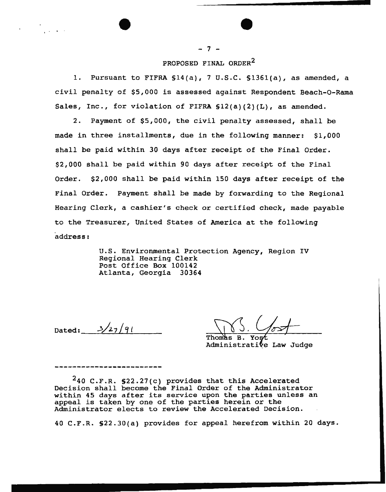# PROPOSED FINAL ORDER<sup>2</sup>

 $-7 -$ 

1. Pursuant to FIFRA §14(a), 7 u.s.c. §1361(a), as amended, a civil penalty of \$5,000 is assessed against Respondent Beach-0-Rama Sales, Inc., for violation of FIFRA  $$12(a)(2)(L)$ , as amended.

2. Payment of \$5,000, the civil penalty assessed, shall be made in three installments, due in the following manner: \$1,000 shall be paid within 30 days after receipt of the Final Order. \$2,000 shall be paid within 90 days after receipt of the Final Order. \$2,000 shall be paid within 150 days after receipt of the Final Order. Payment shall be made by forwarding to the Regional Hearing Clerk, a cashier's check or certified check, made payable to the Treasurer, United States of America at the following address:

> u.s. Environmental Protection Agency, Region IV Regional Hearing Clerk Post Office Box 100142 Atlanta, Georgia 30364

Dated:  $3/27/91$ 

Thomas Yost В. Administrative Law Judge

 $240$  C.F.R. §22.27(c) provides that this Accelerated *Decision* shall become the Final Order of the Administrator within 45 days after its service upon the parties unless an appeal is taken by one of the parties herein or the Administrator elects to review the Accelerated Decision.

40 C.P.R. §22.30(a) provides for appeal herefrom within 20 days.